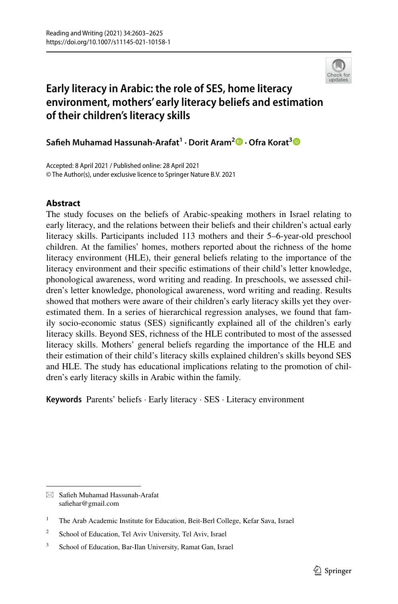

# **Early literacy in Arabic: the role of SES, home literacy environment, mothers' early literacy beliefs and estimation of their children's literacy skills**

**Safeh Muhamad Hassunah‑Arafat<sup>1</sup> · Dorit Aram<sup>2</sup> · Ofra Korat[3](http://orcid.org/0000-0001-6217-678X)**

Accepted: 8 April 2021 / Published online: 28 April 2021 © The Author(s), under exclusive licence to Springer Nature B.V. 2021

## **Abstract**

The study focuses on the beliefs of Arabic-speaking mothers in Israel relating to early literacy, and the relations between their beliefs and their children's actual early literacy skills. Participants included 113 mothers and their 5–6-year-old preschool children. At the families' homes, mothers reported about the richness of the home literacy environment (HLE), their general beliefs relating to the importance of the literacy environment and their specifc estimations of their child's letter knowledge, phonological awareness, word writing and reading. In preschools, we assessed children's letter knowledge, phonological awareness, word writing and reading. Results showed that mothers were aware of their children's early literacy skills yet they overestimated them. In a series of hierarchical regression analyses, we found that family socio-economic status (SES) signifcantly explained all of the children's early literacy skills. Beyond SES, richness of the HLE contributed to most of the assessed literacy skills. Mothers' general beliefs regarding the importance of the HLE and their estimation of their child's literacy skills explained children's skills beyond SES and HLE. The study has educational implications relating to the promotion of children's early literacy skills in Arabic within the family.

**Keywords** Parents' beliefs · Early literacy · SES · Literacy environment

 $\boxtimes$  Safieh Muhamad Hassunah-Arafat safehar@gmail.com

<sup>&</sup>lt;sup>1</sup> The Arab Academic Institute for Education, Beit-Berl College, Kefar Sava, Israel

<sup>&</sup>lt;sup>2</sup> School of Education, Tel Aviv University, Tel Aviv, Israel

<sup>&</sup>lt;sup>3</sup> School of Education, Bar-Ilan University, Ramat Gan, Israel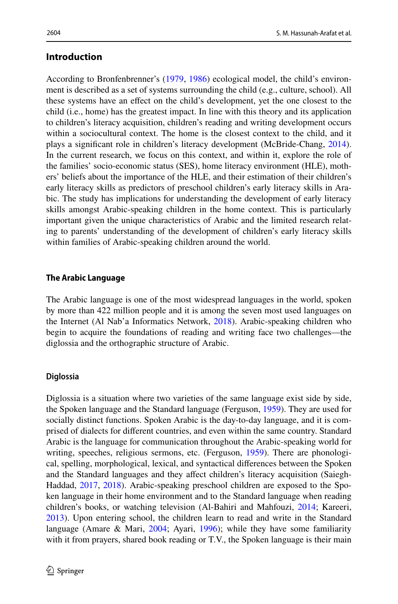## **Introduction**

According to Bronfenbrenner's ([1979,](#page-19-0) [1986\)](#page-19-1) ecological model, the child's environment is described as a set of systems surrounding the child (e.g., culture, school). All these systems have an efect on the child's development, yet the one closest to the child (i.e., home) has the greatest impact. In line with this theory and its application to children's literacy acquisition, children's reading and writing development occurs within a sociocultural context. The home is the closest context to the child, and it plays a signifcant role in children's literacy development (McBride-Chang, [2014\)](#page-21-0). In the current research, we focus on this context, and within it, explore the role of the families' socio-economic status (SES), home literacy environment (HLE), mothers' beliefs about the importance of the HLE, and their estimation of their children's early literacy skills as predictors of preschool children's early literacy skills in Arabic. The study has implications for understanding the development of early literacy skills amongst Arabic-speaking children in the home context. This is particularly important given the unique characteristics of Arabic and the limited research relating to parents' understanding of the development of children's early literacy skills within families of Arabic-speaking children around the world.

#### **The Arabic Language**

The Arabic language is one of the most widespread languages in the world, spoken by more than 422 million people and it is among the seven most used languages on the Internet (Al Nab'a Informatics Network, [2018](#page-18-0)). Arabic-speaking children who begin to acquire the foundations of reading and writing face two challenges—the diglossia and the orthographic structure of Arabic.

#### **Diglossia**

Diglossia is a situation where two varieties of the same language exist side by side, the Spoken language and the Standard language (Ferguson, [1959](#page-20-0)). They are used for socially distinct functions. Spoken Arabic is the day-to-day language, and it is comprised of dialects for diferent countries, and even within the same country. Standard Arabic is the language for communication throughout the Arabic-speaking world for writing, speeches, religious sermons, etc. (Ferguson, [1959\)](#page-20-0). There are phonological, spelling, morphological, lexical, and syntactical diferences between the Spoken and the Standard languages and they afect children's literacy acquisition (Saiegh-Haddad, [2017](#page-21-1), [2018\)](#page-21-2). Arabic-speaking preschool children are exposed to the Spoken language in their home environment and to the Standard language when reading children's books, or watching television (Al-Bahiri and Mahfouzi, [2014;](#page-18-1) Kareeri, [2013](#page-20-1)). Upon entering school, the children learn to read and write in the Standard language (Amare & Mari, [2004](#page-18-2); Ayari, [1996](#page-18-3)); while they have some familiarity with it from prayers, shared book reading or T.V., the Spoken language is their main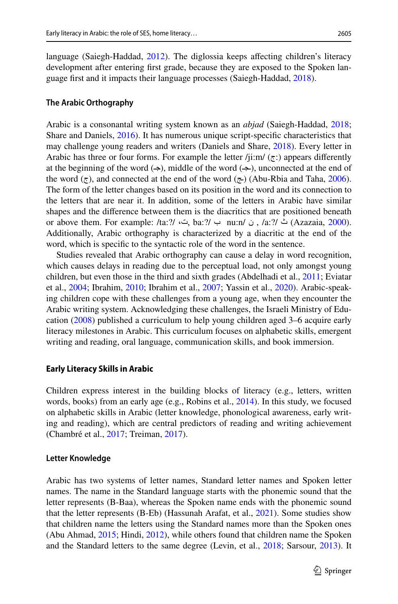language (Saiegh-Haddad, [2012](#page-21-3)). The diglossia keeps afecting children's literacy development after entering frst grade, because they are exposed to the Spoken language frst and it impacts their language processes (Saiegh-Haddad, [2018\)](#page-21-2).

#### **The Arabic Orthography**

Arabic is a consonantal writing system known as an *abjad* (Saiegh-Haddad, [2018;](#page-21-2) Share and Daniels, [2016](#page-22-0)). It has numerous unique script-specifc characteristics that may challenge young readers and writers (Daniels and Share, [2018\)](#page-19-2). Every letter in Arabic has three or four forms. For example the letter  $/$ ji:m/ $(\tau)$ : appears differently at the beginning of the word  $(\rightarrow)$ , middle of the word  $(\rightarrow)$ , unconnected at the end of the word  $(\tau)$ , and connected at the end of the word  $(\tau)$  (Abu-Rbia and Taha, [2006\)](#page-18-4). The form of the letter changes based on its position in the word and its connection to the letters that are near it. In addition, some of the letters in Arabic have similar shapes and the diference between them is the diacritics that are positioned beneath or above them. For example: /ta:?/  $\leftrightarrow$  ha:?/  $\leftrightarrow$  nu:n/  $\circ$ , /a:?/  $\leftrightarrow$  (Azazaia, [2000\)](#page-18-5). Additionally, Arabic orthography is characterized by a diacritic at the end of the word, which is specifc to the syntactic role of the word in the sentence.

Studies revealed that Arabic orthography can cause a delay in word recognition, which causes delays in reading due to the perceptual load, not only amongst young children, but even those in the third and sixth grades (Abdelhadi et al., [2011](#page-18-6); Eviatar et al., [2004](#page-19-3); Ibrahim, [2010;](#page-20-2) Ibrahim et al., [2007;](#page-20-3) Yassin et al., [2020\)](#page-22-1). Arabic-speaking children cope with these challenges from a young age, when they encounter the Arabic writing system. Acknowledging these challenges, the Israeli Ministry of Education ([2008\)](#page-20-4) published a curriculum to help young children aged 3–6 acquire early literacy milestones in Arabic. This curriculum focuses on alphabetic skills, emergent writing and reading, oral language, communication skills, and book immersion.

#### **Early Literacy Skills in Arabic**

Children express interest in the building blocks of literacy (e.g., letters, written words, books) from an early age (e.g., Robins et al., [2014\)](#page-21-4). In this study, we focused on alphabetic skills in Arabic (letter knowledge, phonological awareness, early writing and reading), which are central predictors of reading and writing achievement (Chambré et al., [2017;](#page-19-4) Treiman, [2017\)](#page-22-2).

#### **Letter Knowledge**

Arabic has two systems of letter names, Standard letter names and Spoken letter names. The name in the Standard language starts with the phonemic sound that the letter represents (B-Baa), whereas the Spoken name ends with the phonemic sound that the letter represents (B-Eb) (Hassunah Arafat, et al., [2021](#page-20-5)). Some studies show that children name the letters using the Standard names more than the Spoken ones (Abu Ahmad, [2015](#page-18-7); Hindi, [2012](#page-20-6)), while others found that children name the Spoken and the Standard letters to the same degree (Levin, et al., [2018;](#page-19-5) Sarsour, [2013](#page-22-3)). It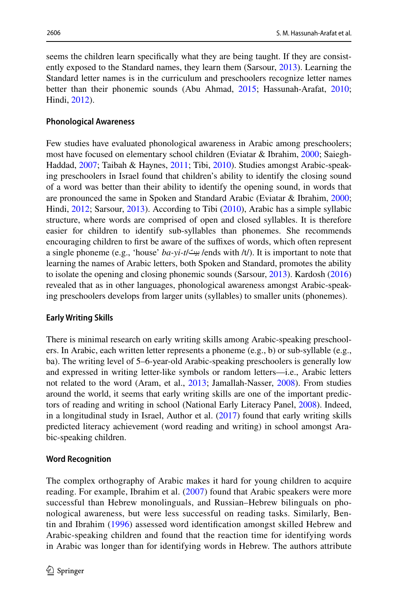seems the children learn specifcally what they are being taught. If they are consistently exposed to the Standard names, they learn them (Sarsour, [2013](#page-22-3)). Learning the Standard letter names is in the curriculum and preschoolers recognize letter names better than their phonemic sounds (Abu Ahmad, [2015](#page-18-7); Hassunah-Arafat, [2010;](#page-20-7) Hindi, [2012\)](#page-20-6).

#### **Phonological Awareness**

Few studies have evaluated phonological awareness in Arabic among preschoolers; most have focused on elementary school children (Eviatar & Ibrahim, [2000](#page-19-6); Saiegh-Haddad, [2007](#page-21-5); Taibah & Haynes, [2011](#page-22-4); Tibi, [2010](#page-22-5)). Studies amongst Arabic-speaking preschoolers in Israel found that children's ability to identify the closing sound of a word was better than their ability to identify the opening sound, in words that are pronounced the same in Spoken and Standard Arabic (Eviatar & Ibrahim, [2000;](#page-19-6) Hindi, [2012](#page-20-6); Sarsour, [2013](#page-22-3)). According to Tibi [\(2010](#page-22-5)), Arabic has a simple syllabic structure, where words are comprised of open and closed syllables. It is therefore easier for children to identify sub-syllables than phonemes. She recommends encouraging children to first be aware of the suffixes of words, which often represent a single phoneme (e.g., 'house' *ba-yi-t*/بيت /ends with /t/). It is important to note that learning the names of Arabic letters, both Spoken and Standard, promotes the ability to isolate the opening and closing phonemic sounds (Sarsour, [2013](#page-22-3)). Kardosh [\(2016](#page-20-8)) revealed that as in other languages, phonological awareness amongst Arabic-speaking preschoolers develops from larger units (syllables) to smaller units (phonemes).

#### **Early Writing Skills**

There is minimal research on early writing skills among Arabic-speaking preschoolers. In Arabic, each written letter represents a phoneme (e.g., b) or sub-syllable (e.g., ba). The writing level of 5–6-year-old Arabic-speaking preschoolers is generally low and expressed in writing letter-like symbols or random letters—i.e., Arabic letters not related to the word (Aram, et al., [2013](#page-18-8); Jamallah-Nasser, [2008](#page-20-9)). From studies around the world, it seems that early writing skills are one of the important predictors of reading and writing in school (National Early Literacy Panel, [2008\)](#page-21-6). Indeed, in a longitudinal study in Israel, Author et al. ([2017\)](#page-20-10) found that early writing skills predicted literacy achievement (word reading and writing) in school amongst Arabic-speaking children.

#### **Word Recognition**

The complex orthography of Arabic makes it hard for young children to acquire reading. For example, Ibrahim et al. [\(2007\)](#page-20-3) found that Arabic speakers were more successful than Hebrew monolinguals, and Russian–Hebrew bilinguals on phonological awareness, but were less successful on reading tasks. Similarly, Bentin and Ibrahim [\(1996\)](#page-19-7) assessed word identifcation amongst skilled Hebrew and Arabic-speaking children and found that the reaction time for identifying words in Arabic was longer than for identifying words in Hebrew. The authors attribute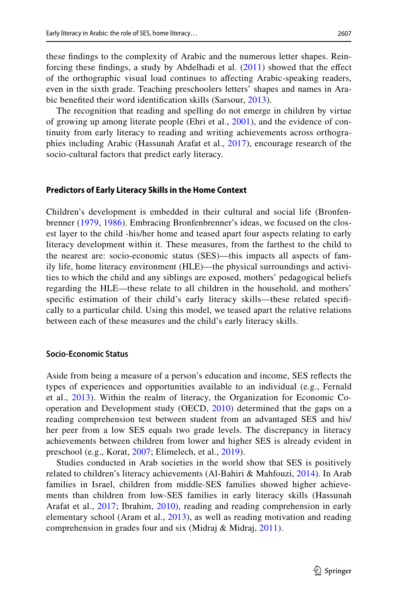these fndings to the complexity of Arabic and the numerous letter shapes. Reinforcing these fndings, a study by Abdelhadi et al. ([2011](#page-18-6)) showed that the efect of the orthographic visual load continues to afecting Arabic-speaking readers, even in the sixth grade. Teaching preschoolers letters' shapes and names in Arabic benefted their word identifcation skills (Sarsour, [2013](#page-22-3)).

The recognition that reading and spelling do not emerge in children by virtue of growing up among literate people (Ehri et al., [2001\)](#page-19-8), and the evidence of continuity from early literacy to reading and writing achievements across orthographies including Arabic (Hassunah Arafat et al., [2017](#page-20-10)), encourage research of the socio-cultural factors that predict early literacy.

#### **Predictors of Early Literacy Skills in the Home Context**

Children's development is embedded in their cultural and social life (Bronfenbrenner ([1979](#page-19-0), [1986\)](#page-19-1). Embracing Bronfenbrenner's ideas, we focused on the closest layer to the child -his/her home and teased apart four aspects relating to early literacy development within it. These measures, from the farthest to the child to the nearest are: socio-economic status (SES)—this impacts all aspects of family life, home literacy environment (HLE)—the physical surroundings and activities to which the child and any siblings are exposed, mothers' pedagogical beliefs regarding the HLE—these relate to all children in the household, and mothers' specifc estimation of their child's early literacy skills—these related specifcally to a particular child. Using this model, we teased apart the relative relations between each of these measures and the child's early literacy skills.

#### **Socio‑Economic Status**

Aside from being a measure of a person's education and income, SES refects the types of experiences and opportunities available to an individual (e.g., Fernald et al., [2013\)](#page-20-11). Within the realm of literacy, the Organization for Economic Cooperation and Development study (OECD, [2010\)](#page-21-7) determined that the gaps on a reading comprehension test between student from an advantaged SES and his/ her peer from a low SES equals two grade levels. The discrepancy in literacy achievements between children from lower and higher SES is already evident in preschool (e.g., Korat, [2007;](#page-21-8) Elimelech, et al., [2019](#page-19-5)).

Studies conducted in Arab societies in the world show that SES is positively related to children's literacy achievements (Al-Bahiri & Mahfouzi, [2014](#page-18-1)). In Arab families in Israel, children from middle-SES families showed higher achievements than children from low-SES families in early literacy skills (Hassunah Arafat et al., [2017](#page-20-10); Ibrahim, [2010\)](#page-20-2), reading and reading comprehension in early elementary school (Aram et al., [2013](#page-18-8)), as well as reading motivation and reading comprehension in grades four and six (Midraj & Midraj, [2011](#page-21-9)).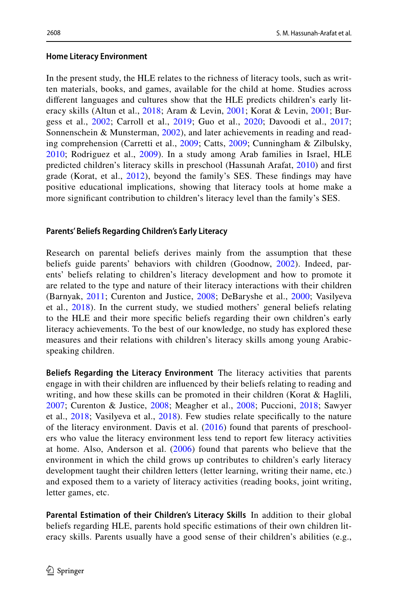### **Home Literacy Environment**

In the present study, the HLE relates to the richness of literacy tools, such as written materials, books, and games, available for the child at home. Studies across diferent languages and cultures show that the HLE predicts children's early literacy skills (Altun et al., [2018;](#page-18-9) Aram & Levin, [2001;](#page-18-10) Korat & Levin, [2001;](#page-21-10) Burgess et al., [2002](#page-19-9); Carroll et al., [2019](#page-19-10); Guo et al., [2020](#page-20-12); Davoodi et al., [2017;](#page-19-11) Sonnenschein & Munsterman, [2002](#page-22-6)), and later achievements in reading and reading comprehension (Carretti et al., [2009](#page-19-12); Catts, [2009](#page-19-13); Cunningham & Zilbulsky, [2010;](#page-19-14) Rodriguez et al., [2009\)](#page-21-11). In a study among Arab families in Israel, HLE predicted children's literacy skills in preschool (Hassunah Arafat, [2010](#page-20-7)) and frst grade (Korat, et al., [2012](#page-21-12)), beyond the family's SES. These fndings may have positive educational implications, showing that literacy tools at home make a more signifcant contribution to children's literacy level than the family's SES.

## **Parents' Beliefs Regarding Children's Early Literacy**

Research on parental beliefs derives mainly from the assumption that these beliefs guide parents' behaviors with children (Goodnow, [2002\)](#page-20-13). Indeed, parents' beliefs relating to children's literacy development and how to promote it are related to the type and nature of their literacy interactions with their children (Barnyak, [2011](#page-18-11); Curenton and Justice, [2008](#page-19-15); DeBaryshe et al., [2000](#page-19-16); Vasilyeva et al., [2018\)](#page-22-7). In the current study, we studied mothers' general beliefs relating to the HLE and their more specifc beliefs regarding their own children's early literacy achievements. To the best of our knowledge, no study has explored these measures and their relations with children's literacy skills among young Arabicspeaking children.

**Beliefs Regarding the Literacy Environment** The literacy activities that parents engage in with their children are infuenced by their beliefs relating to reading and writing, and how these skills can be promoted in their children (Korat  $\&$  Haglili, [2007;](#page-21-8) Curenton & Justice, [2008;](#page-19-15) Meagher et al., [2008;](#page-21-13) Puccioni, [2018;](#page-21-14) Sawyer et al., [2018;](#page-22-8) Vasilyeva et al., [2018\)](#page-22-7). Few studies relate specifcally to the nature of the literacy environment. Davis et al. [\(2016\)](#page-19-17) found that parents of preschoolers who value the literacy environment less tend to report few literacy activities at home. Also, Anderson et al. [\(2006\)](#page-18-12) found that parents who believe that the environment in which the child grows up contributes to children's early literacy development taught their children letters (letter learning, writing their name, etc.) and exposed them to a variety of literacy activities (reading books, joint writing, letter games, etc.

**Parental Estimation of their Children's Literacy Skills** In addition to their global beliefs regarding HLE, parents hold specifc estimations of their own children literacy skills. Parents usually have a good sense of their children's abilities (e.g.,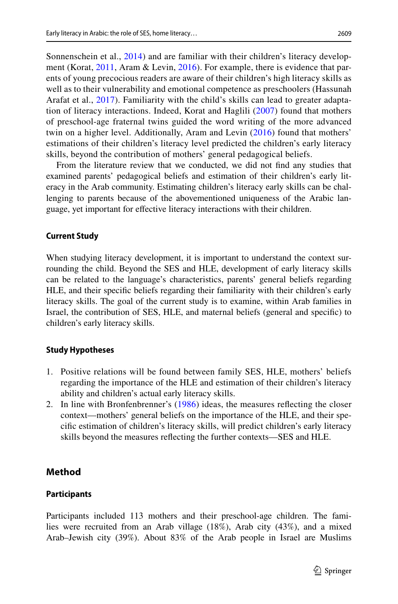2609

Sonnenschein et al., [2014](#page-22-9)) and are familiar with their children's literacy development (Korat, [2011,](#page-21-15) Aram & Levin, [2016](#page-18-13)). For example, there is evidence that parents of young precocious readers are aware of their children's high literacy skills as well as to their vulnerability and emotional competence as preschoolers (Hassunah Arafat et al., [2017\)](#page-20-10). Familiarity with the child's skills can lead to greater adaptation of literacy interactions. Indeed, Korat and Haglili ([2007](#page-21-8)) found that mothers of preschool-age fraternal twins guided the word writing of the more advanced twin on a higher level. Additionally, Aram and Levin ([2016](#page-18-13)) found that mothers' estimations of their children's literacy level predicted the children's early literacy skills, beyond the contribution of mothers' general pedagogical beliefs.

From the literature review that we conducted, we did not fnd any studies that examined parents' pedagogical beliefs and estimation of their children's early literacy in the Arab community. Estimating children's literacy early skills can be challenging to parents because of the abovementioned uniqueness of the Arabic language, yet important for efective literacy interactions with their children.

#### **Current Study**

When studying literacy development, it is important to understand the context surrounding the child. Beyond the SES and HLE, development of early literacy skills can be related to the language's characteristics, parents' general beliefs regarding HLE, and their specifc beliefs regarding their familiarity with their children's early literacy skills. The goal of the current study is to examine, within Arab families in Israel, the contribution of SES, HLE, and maternal beliefs (general and specifc) to children's early literacy skills.

### **Study Hypotheses**

- 1. Positive relations will be found between family SES, HLE, mothers' beliefs regarding the importance of the HLE and estimation of their children's literacy ability and children's actual early literacy skills.
- 2. In line with Bronfenbrenner's ([1986\)](#page-19-1) ideas, the measures refecting the closer context—mothers' general beliefs on the importance of the HLE, and their specifc estimation of children's literacy skills, will predict children's early literacy skills beyond the measures refecting the further contexts—SES and HLE.

## **Method**

### **Participants**

Participants included 113 mothers and their preschool-age children. The families were recruited from an Arab village (18%), Arab city (43%), and a mixed Arab–Jewish city (39%). About 83% of the Arab people in Israel are Muslims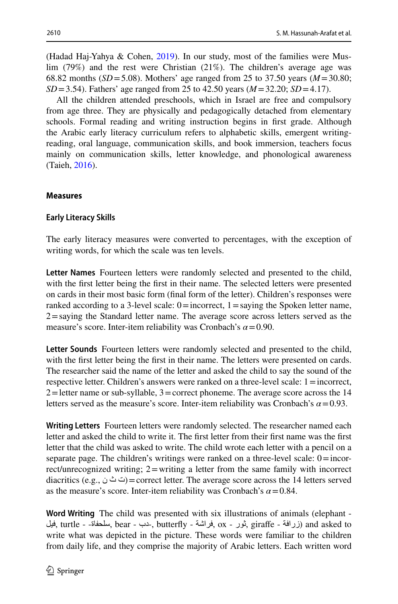(Hadad Haj-Yahya & Cohen, [2019\)](#page-20-14). In our study, most of the families were Muslim (79%) and the rest were Christian (21%). The children's average age was 68.82 months (*SD*=5.08). Mothers' age ranged from 25 to 37.50 years (*M*=30.80; *SD*=3.54). Fathers' age ranged from 25 to 42.50 years (*M*=32.20; *SD*=4.17).

All the children attended preschools, which in Israel are free and compulsory from age three. They are physically and pedagogically detached from elementary schools. Formal reading and writing instruction begins in frst grade. Although the Arabic early literacy curriculum refers to alphabetic skills, emergent writingreading, oral language, communication skills, and book immersion, teachers focus mainly on communication skills, letter knowledge, and phonological awareness (Taieh, [2016\)](#page-22-10).

#### **Measures**

#### **Early Literacy Skills**

The early literacy measures were converted to percentages, with the exception of writing words, for which the scale was ten levels.

**Letter Names** Fourteen letters were randomly selected and presented to the child, with the frst letter being the frst in their name. The selected letters were presented on cards in their most basic form (fnal form of the letter). Children's responses were ranked according to a 3-level scale:  $0 =$ incorrect,  $1 =$ saying the Spoken letter name,  $2 =$ saying the Standard letter name. The average score across letters served as the measure's score. Inter-item reliability was Cronbach's  $\alpha$  = 0.90.

**Letter Sounds** Fourteen letters were randomly selected and presented to the child, with the first letter being the first in their name. The letters were presented on cards. The researcher said the name of the letter and asked the child to say the sound of the respective letter. Children's answers were ranked on a three-level scale: 1=incorrect,  $2 =$  letter name or sub-syllable,  $3 =$  correct phoneme. The average score across the 14 letters served as the measure's score. Inter-item reliability was Cronbach's  $\alpha$  = 0.93.

**Writing Letters** Fourteen letters were randomly selected. The researcher named each letter and asked the child to write it. The frst letter from their frst name was the frst letter that the child was asked to write. The child wrote each letter with a pencil on a separate page. The children's writings were ranked on a three-level scale:  $0=$  incorrect/unrecognized writing; 2=writing a letter from the same family with incorrect diacritics (e.g.,  $\dot{\cup}$   $\dot{\cup}$  = correct letter. The average score across the 14 letters served as the measure's score. Inter-item reliability was Cronbach's  $\alpha$  = 0.84.

**Word Writing** The child was presented with six illustrations of animals (elephant - فيل, turtle - سبلحفاة, bear - دب, butterfly - فراشة (and asked to مطلحفاة) and asked to write what was depicted in the picture. These words were familiar to the children from daily life, and they comprise the majority of Arabic letters. Each written word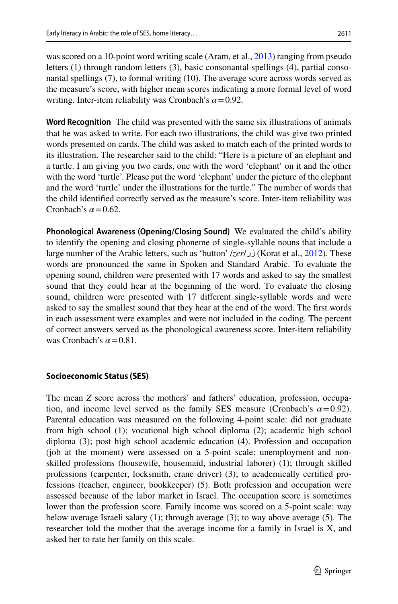was scored on a 10-point word writing scale (Aram, et al., [2013\)](#page-18-8) ranging from pseudo letters (1) through random letters (3), basic consonantal spellings (4), partial consonantal spellings (7), to formal writing (10). The average score across words served as the measure's score, with higher mean scores indicating a more formal level of word writing. Inter-item reliability was Cronbach's *α*=0.92.

**Word Recognition** The child was presented with the same six illustrations of animals that he was asked to write. For each two illustrations, the child was give two printed words presented on cards. The child was asked to match each of the printed words to its illustration. The researcher said to the child: "Here is a picture of an elephant and a turtle. I am giving you two cards, one with the word 'elephant' on it and the other with the word 'turtle'. Please put the word 'elephant' under the picture of the elephant and the word 'turtle' under the illustrations for the turtle." The number of words that the child identifed correctly served as the measure's score. Inter-item reliability was Cronbach's  $\alpha$ =0.62.

**Phonological Awareness (Opening/Closing Sound)** We evaluated the child's ability to identify the opening and closing phoneme of single-syllable nouns that include a large number of the Arabic letters, such as 'button' /*zer*/زر) Korat et al., [2012](#page-21-12)). These words are pronounced the same in Spoken and Standard Arabic. To evaluate the opening sound, children were presented with 17 words and asked to say the smallest sound that they could hear at the beginning of the word. To evaluate the closing sound, children were presented with 17 diferent single-syllable words and were asked to say the smallest sound that they hear at the end of the word. The frst words in each assessment were examples and were not included in the coding. The percent of correct answers served as the phonological awareness score. Inter-item reliability was Cronbach's  $\alpha$ =0.81.

#### **Socioeconomic Status (SES)**

The mean *Z* score across the mothers' and fathers' education, profession, occupation, and income level served as the family SES measure (Cronbach's  $\alpha$  = 0.92). Parental education was measured on the following 4-point scale: did not graduate from high school (1); vocational high school diploma (2); academic high school diploma (3); post high school academic education (4). Profession and occupation (job at the moment) were assessed on a 5-point scale: unemployment and nonskilled professions (housewife, housemaid, industrial laborer) (1); through skilled professions (carpenter, locksmith, crane driver) (3); to academically certifed professions (teacher, engineer, bookkeeper) (5). Both profession and occupation were assessed because of the labor market in Israel. The occupation score is sometimes lower than the profession score. Family income was scored on a 5-point scale: way below average Israeli salary (1); through average (3); to way above average (5). The researcher told the mother that the average income for a family in Israel is X, and asked her to rate her family on this scale.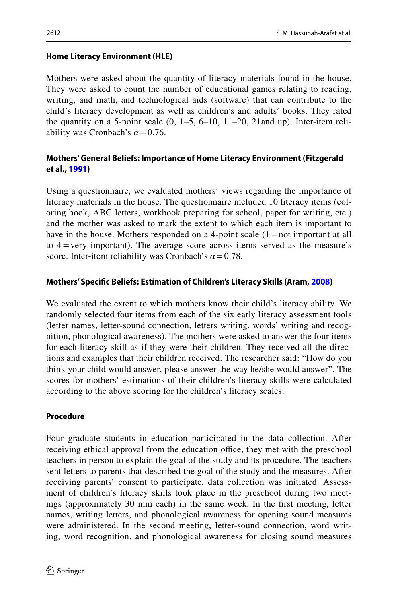## **Home Literacy Environment (HLE)**

Mothers were asked about the quantity of literacy materials found in the house. They were asked to count the number of educational games relating to reading, writing, and math, and technological aids (software) that can contribute to the child's literacy development as well as children's and adults' books. They rated the quantity on a 5-point scale  $(0, 1-5, 6-10, 11-20, 21$  and up). Inter-item reliability was Cronbach's  $\alpha$  = 0.76.

## **Mothers' General Beliefs: Importance of Home Literacy Environment (Fitzgerald et al., [1991](#page-20-15))**

Using a questionnaire, we evaluated mothers' views regarding the importance of literacy materials in the house. The questionnaire included 10 literacy items (coloring book, ABC letters, workbook preparing for school, paper for writing, etc.) and the mother was asked to mark the extent to which each item is important to have in the house. Mothers responded on a 4-point scale  $(1=$  not important at all to 4=very important). The average score across items served as the measure's score. Inter-item reliability was Cronbach's  $\alpha$  = 0.78.

## **Mothers' Specifc Beliefs: Estimation of Children's Literacy Skills (Aram, [2008](#page-18-14))**

We evaluated the extent to which mothers know their child's literacy ability. We randomly selected four items from each of the six early literacy assessment tools (letter names, letter-sound connection, letters writing, words' writing and recognition, phonological awareness). The mothers were asked to answer the four items for each literacy skill as if they were their children. They received all the directions and examples that their children received. The researcher said: "How do you think your child would answer, please answer the way he/she would answer". The scores for mothers' estimations of their children's literacy skills were calculated according to the above scoring for the children's literacy scales.

## **Procedure**

Four graduate students in education participated in the data collection. After receiving ethical approval from the education office, they met with the preschool teachers in person to explain the goal of the study and its procedure. The teachers sent letters to parents that described the goal of the study and the measures. After receiving parents' consent to participate, data collection was initiated. Assessment of children's literacy skills took place in the preschool during two meetings (approximately 30 min each) in the same week. In the frst meeting, letter names, writing letters, and phonological awareness for opening sound measures were administered. In the second meeting, letter-sound connection, word writing, word recognition, and phonological awareness for closing sound measures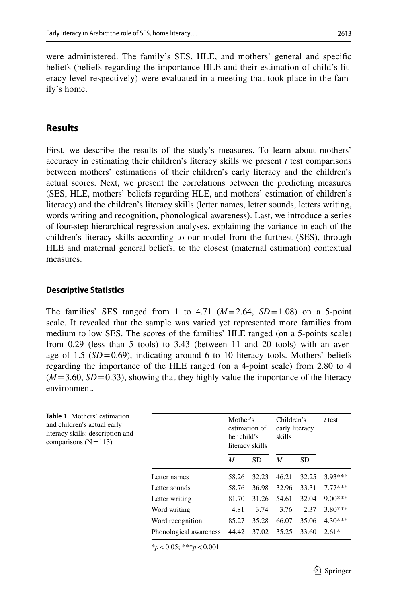were administered. The family's SES, HLE, and mothers' general and specifc beliefs (beliefs regarding the importance HLE and their estimation of child's literacy level respectively) were evaluated in a meeting that took place in the family's home.

## **Results**

First, we describe the results of the study's measures. To learn about mothers' accuracy in estimating their children's literacy skills we present *t* test comparisons between mothers' estimations of their children's early literacy and the children's actual scores. Next, we present the correlations between the predicting measures (SES, HLE, mothers' beliefs regarding HLE, and mothers' estimation of children's literacy) and the children's literacy skills (letter names, letter sounds, letters writing, words writing and recognition, phonological awareness). Last, we introduce a series of four-step hierarchical regression analyses, explaining the variance in each of the children's literacy skills according to our model from the furthest (SES), through HLE and maternal general beliefs, to the closest (maternal estimation) contextual measures.

#### **Descriptive Statistics**

The families' SES ranged from 1 to  $4.71 \ (M=2.64, SD=1.08)$  on a 5-point scale. It revealed that the sample was varied yet represented more families from medium to low SES. The scores of the families' HLE ranged (on a 5-points scale) from 0.29 (less than 5 tools) to 3.43 (between 11 and 20 tools) with an average of 1.5  $(SD=0.69)$ , indicating around 6 to 10 literacy tools. Mothers' beliefs regarding the importance of the HLE ranged (on a 4-point scale) from 2.80 to 4  $(M=3.60, SD=0.33)$ , showing that they highly value the importance of the literacy environment.

<span id="page-10-0"></span>

| Table 1 Mothers' estimation<br>and children's actual early<br>literacy skills: description and<br>comparisons $(N=113)$ |                        | Mother's<br>estimation of<br>her child's<br>literacy skills |           | Children's<br>early literacy<br>skills |           | $t$ test  |
|-------------------------------------------------------------------------------------------------------------------------|------------------------|-------------------------------------------------------------|-----------|----------------------------------------|-----------|-----------|
|                                                                                                                         |                        | M                                                           | <b>SD</b> | M                                      | <b>SD</b> |           |
|                                                                                                                         | Letter names           | 58.26                                                       | 32.23     | 46.21                                  | 32.25     | $3.93***$ |
|                                                                                                                         | Letter sounds          | 58.76                                                       | 36.98     | 32.96                                  | 33.31     | $7.77***$ |
|                                                                                                                         | Letter writing         | 81.70                                                       | 31.26     | 54.61                                  | 32.04     | $9.00***$ |
|                                                                                                                         | Word writing           | 4.81                                                        | 3.74      | 3.76                                   | 2.37      | $3.80***$ |
|                                                                                                                         | Word recognition       | 85.27                                                       | 35.28     | 66.07                                  | 35.06     | $4.30***$ |
|                                                                                                                         | Phonological awareness | 44.42                                                       | 37.02     | 35.25                                  | 33.60     | $2.61*$   |

\**p*<0.05; \*\*\**p*<0.001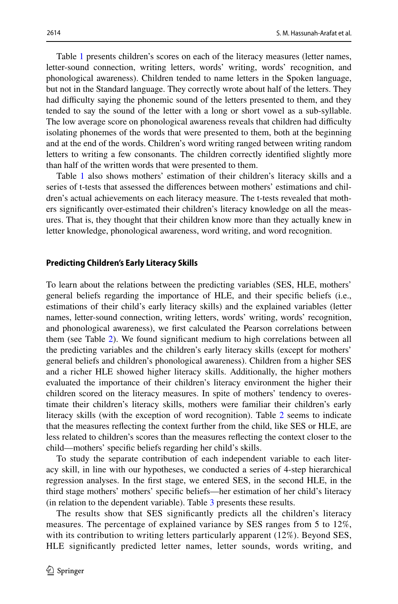Table [1](#page-10-0) presents children's scores on each of the literacy measures (letter names, letter-sound connection, writing letters, words' writing, words' recognition, and phonological awareness). Children tended to name letters in the Spoken language, but not in the Standard language. They correctly wrote about half of the letters. They had difficulty saying the phonemic sound of the letters presented to them, and they tended to say the sound of the letter with a long or short vowel as a sub-syllable. The low average score on phonological awareness reveals that children had difculty isolating phonemes of the words that were presented to them, both at the beginning and at the end of the words. Children's word writing ranged between writing random letters to writing a few consonants. The children correctly identifed slightly more than half of the written words that were presented to them.

Table [1](#page-10-0) also shows mothers' estimation of their children's literacy skills and a series of t-tests that assessed the diferences between mothers' estimations and children's actual achievements on each literacy measure. The t-tests revealed that mothers signifcantly over-estimated their children's literacy knowledge on all the measures. That is, they thought that their children know more than they actually knew in letter knowledge, phonological awareness, word writing, and word recognition.

#### **Predicting Children's Early Literacy Skills**

To learn about the relations between the predicting variables (SES, HLE, mothers' general beliefs regarding the importance of HLE, and their specifc beliefs (i.e., estimations of their child's early literacy skills) and the explained variables (letter names, letter-sound connection, writing letters, words' writing, words' recognition, and phonological awareness), we frst calculated the Pearson correlations between them (see Table [2\)](#page-12-0). We found signifcant medium to high correlations between all the predicting variables and the children's early literacy skills (except for mothers' general beliefs and children's phonological awareness). Children from a higher SES and a richer HLE showed higher literacy skills. Additionally, the higher mothers evaluated the importance of their children's literacy environment the higher their children scored on the literacy measures. In spite of mothers' tendency to overestimate their children's literacy skills, mothers were familiar their children's early literacy skills (with the exception of word recognition). Table [2](#page-12-0) seems to indicate that the measures refecting the context further from the child, like SES or HLE, are less related to children's scores than the measures refecting the context closer to the child—mothers' specifc beliefs regarding her child's skills.

To study the separate contribution of each independent variable to each literacy skill, in line with our hypotheses, we conducted a series of 4-step hierarchical regression analyses. In the frst stage, we entered SES, in the second HLE, in the third stage mothers' mothers' specifc beliefs—her estimation of her child's literacy (in relation to the dependent variable). Table [3](#page-13-0) presents these results.

The results show that SES signifcantly predicts all the children's literacy measures. The percentage of explained variance by SES ranges from 5 to 12%, with its contribution to writing letters particularly apparent (12%). Beyond SES, HLE signifcantly predicted letter names, letter sounds, words writing, and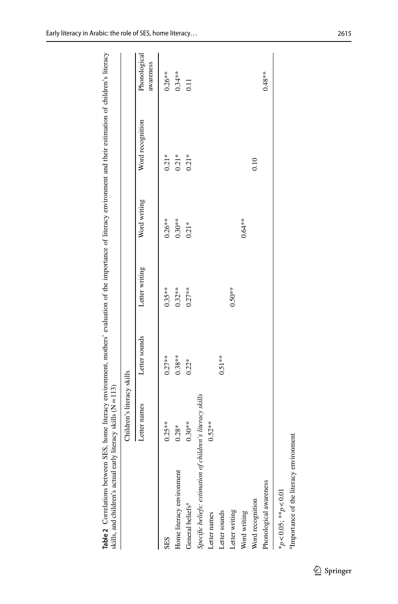| skills, and children's actual earl                         | $\gamma$ literacy skills ( $\mathcal{N}=113$ ) |               |                |              |                  |                           |
|------------------------------------------------------------|------------------------------------------------|---------------|----------------|--------------|------------------|---------------------------|
|                                                            | Children's literacy skills                     |               |                |              |                  |                           |
|                                                            | Letter names                                   | Letter sounds | Letter writing | Word writing | Word recognition | Phonological<br>awareness |
| <b>SES</b>                                                 | $0.25***$                                      | $0.27***$     | $0.35***$      | $0.26***$    | $0.21*$          | $0.26***$                 |
| Home literacy environment                                  | $0.28*$                                        | $0.38***$     | $0.32***$      | $0.30**$     | $0.21*$          | $0.34***$                 |
| General beliefs <sup>a</sup>                               | $0.30**$                                       | $0.22*$       | $0.27**$       | $0.21*$      | $0.21*$          | 0.11                      |
| Specific beliefs: estimation of children's literacy skills |                                                |               |                |              |                  |                           |
| Letter names                                               | $0.52***$                                      |               |                |              |                  |                           |
| Letter sounds                                              |                                                | $0.51**$      |                |              |                  |                           |
| Letter writing                                             |                                                |               | $0.50**$       |              |                  |                           |
| Word writing                                               |                                                |               |                | $0.64**$     |                  |                           |
| Word recognition                                           |                                                |               |                |              | 0.10             |                           |
| Phonological awareness                                     |                                                |               |                |              |                  | $0.48**$                  |
| * $p < 0.05$ ; ** $p < 0.01$                               |                                                |               |                |              |                  |                           |

Table 2 Correlations between SES, home literacy environment, mothers' evaluation of the importance of literacy environment and their estimation of children's literacy<br>skills, and children's actual early literacy skills (N= Table 2 Correlations between SES, home literacy environment, mothers' evaluation of the importance of literacy environment and their estimation of children's literacy<br>skills, and children's actual early literacy skills (N

<sup>a</sup>Importance of the literacy environment

<span id="page-12-0"></span><sup>a</sup>Importance of the literacy environment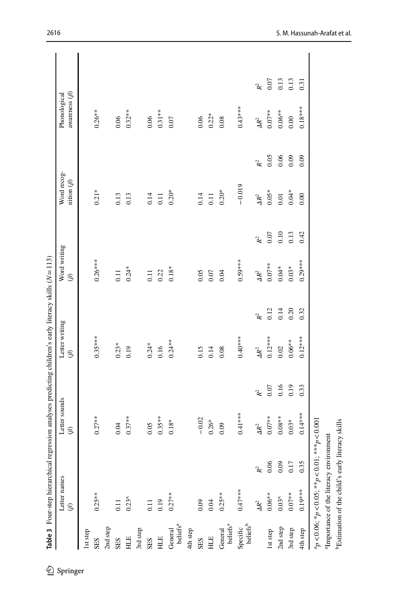<span id="page-13-0"></span>

|                                               |       | $\circledast$ |                 | $\circledast$ |                 | $\circledS$       |                 | nition $(\beta)$ |                | awareness $(\beta)$ |                 |
|-----------------------------------------------|-------|---------------|-----------------|---------------|-----------------|-------------------|-----------------|------------------|----------------|---------------------|-----------------|
| 1st step                                      |       |               |                 |               |                 |                   |                 |                  |                |                     |                 |
| $0.25**$<br>SES                               |       | $0.27**$      |                 | $0.35***$     |                 | $0.26***$         |                 | $0.21*$          |                | $0.26**$            |                 |
| 2nd step                                      |       |               |                 |               |                 |                   |                 |                  |                |                     |                 |
| 0.11<br>SES                                   |       | 0.04          |                 | $0.23*$       |                 | 0.11              |                 | 0.13             |                | 0.06                |                 |
| $0.23^$<br>$\rm H\,$                          |       | $0.37**$      |                 | 0.19          |                 | $0.24*$           |                 | 0.13             |                | $0.32***$           |                 |
| 3rd step                                      |       |               |                 |               |                 |                   |                 |                  |                |                     |                 |
| 0.11<br>SES                                   |       | 0.05          |                 | $0.24*$       |                 | $\overline{0.11}$ |                 | 0.14             |                | $0.06$              |                 |
| 0.19<br>HLE                                   |       | $0.35**$      |                 | 0.16          |                 | 0.22              |                 | 0.11             |                | $0.31***$           |                 |
| $0.27***$<br>beliefs <sup>a</sup><br>General  |       | $0.18*$       |                 | $0.24***$     |                 | $0.18*$           |                 | $0.20*$          |                | 0.07                |                 |
| 4th step                                      |       |               |                 |               |                 |                   |                 |                  |                |                     |                 |
| 0.09<br>SES                                   |       | $-0.02$       |                 | 0.15          |                 | 0.05              |                 | 0.14             |                | 0.06                |                 |
| 0.04<br>HLE                                   |       | $0.26*$       |                 | 0.14          |                 | 0.07              |                 | 0.11             |                | $0.22*$             |                 |
| $0.25**$<br>beliefs <sup>a</sup><br>General   |       | 0.09          |                 | 0.08          |                 | 0.04              |                 | $0.20*$          |                | 0.08                |                 |
| $0.47***$<br>beliefs <sup>b</sup><br>Specific |       | $0.41***$     |                 | $0.40**$      |                 | $0.59***$         |                 | $-0.019$         |                | $0.43***$           |                 |
| $\Delta R^2$                                  | $R^2$ | $\Delta R^2$  | $\mathcal{R}^2$ | $\Delta R^2$  | $\mathcal{R}^2$ | $\Delta R^2$      | $\mathcal{R}^2$ | $\Delta R^2$     | $\mathbb{R}^2$ | $\Delta R^2$        | $\mathcal{R}^2$ |
| $0.06**$<br>1st step                          | 0.06  | $0.07**$      | $0.07\,$        | $0.12***$     | 0.12            | $0.07**$          | $0.07\,$        | $0.05*$          | 0.05           | $0.07**$            | 0.07            |
| $0.03^$<br>2nd step                           | 0.09  | $0.08**$      | 0.16            | $0.02\,$      | 0.14            | $0.04*$           | 0.10            | $0.01\,$         | 0.06           | $0.06**$            | 0.13            |
| $0.07**$<br>3rd step                          | 0.17  | $0.03*$       | 0.19            | $0.06**$      | 0.20            | $0.03*$           | 0.13            | $0.04*$          | 0.09           | 0.00                | 0.13            |
| $0.19***$<br>4th step                         | 0.35  | $0.14***$     | 0.33            | $0.12***$     | 0.32            | $0.29***$         | 0.42            | 0.00             | 0.09           | $0.18***$           | 0.31            |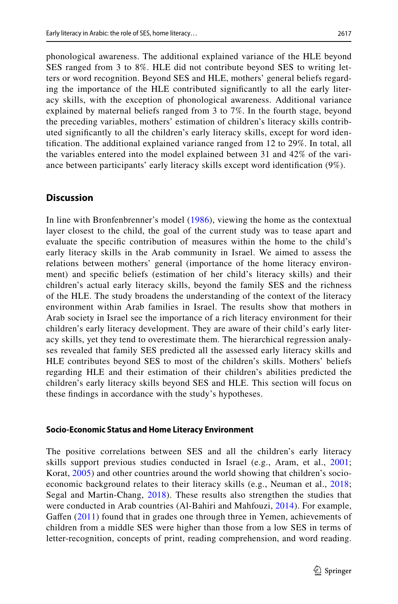phonological awareness. The additional explained variance of the HLE beyond SES ranged from 3 to 8%. HLE did not contribute beyond SES to writing letters or word recognition. Beyond SES and HLE, mothers' general beliefs regarding the importance of the HLE contributed signifcantly to all the early literacy skills, with the exception of phonological awareness. Additional variance explained by maternal beliefs ranged from 3 to 7%. In the fourth stage, beyond the preceding variables, mothers' estimation of children's literacy skills contributed signifcantly to all the children's early literacy skills, except for word identifcation. The additional explained variance ranged from 12 to 29%. In total, all the variables entered into the model explained between 31 and 42% of the variance between participants' early literacy skills except word identifcation (9%).

## **Discussion**

In line with Bronfenbrenner's model [\(1986](#page-19-1)), viewing the home as the contextual layer closest to the child, the goal of the current study was to tease apart and evaluate the specifc contribution of measures within the home to the child's early literacy skills in the Arab community in Israel. We aimed to assess the relations between mothers' general (importance of the home literacy environment) and specifc beliefs (estimation of her child's literacy skills) and their children's actual early literacy skills, beyond the family SES and the richness of the HLE. The study broadens the understanding of the context of the literacy environment within Arab families in Israel. The results show that mothers in Arab society in Israel see the importance of a rich literacy environment for their children's early literacy development. They are aware of their child's early literacy skills, yet they tend to overestimate them. The hierarchical regression analyses revealed that family SES predicted all the assessed early literacy skills and HLE contributes beyond SES to most of the children's skills. Mothers' beliefs regarding HLE and their estimation of their children's abilities predicted the children's early literacy skills beyond SES and HLE. This section will focus on these fndings in accordance with the study's hypotheses.

#### **Socio‑Economic Status and Home Literacy Environment**

The positive correlations between SES and all the children's early literacy skills support previous studies conducted in Israel (e.g., Aram, et al., [2001;](#page-18-10) Korat, [2005\)](#page-21-16) and other countries around the world showing that children's socioeconomic background relates to their literacy skills (e.g., Neuman et al., [2018;](#page-21-17) Segal and Martin-Chang, [2018\)](#page-22-11). These results also strengthen the studies that were conducted in Arab countries (Al-Bahiri and Mahfouzi, [2014](#page-18-1)). For example, Gaffen [\(2011](#page-19-18)) found that in grades one through three in Yemen, achievements of children from a middle SES were higher than those from a low SES in terms of letter-recognition, concepts of print, reading comprehension, and word reading.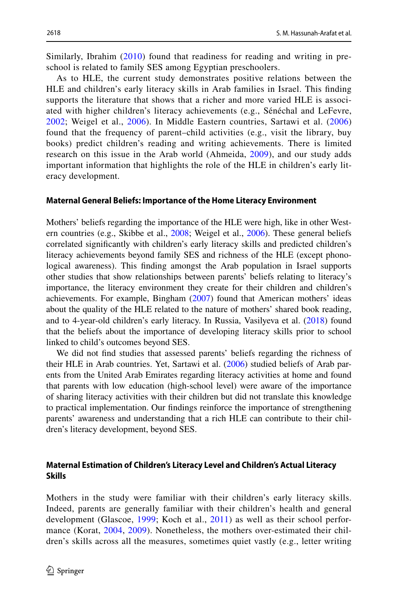Similarly, Ibrahim [\(2010](#page-20-2)) found that readiness for reading and writing in preschool is related to family SES among Egyptian preschoolers.

As to HLE, the current study demonstrates positive relations between the HLE and children's early literacy skills in Arab families in Israel. This fnding supports the literature that shows that a richer and more varied HLE is associated with higher children's literacy achievements (e.g., Sénéchal and LeFevre, [2002;](#page-22-12) Weigel et al., [2006](#page-22-13)). In Middle Eastern countries, Sartawi et al. [\(2006](#page-22-14)) found that the frequency of parent–child activities (e.g., visit the library, buy books) predict children's reading and writing achievements. There is limited research on this issue in the Arab world (Ahmeida, [2009\)](#page-18-15), and our study adds important information that highlights the role of the HLE in children's early literacy development.

#### **Maternal General Beliefs: Importance of the Home Literacy Environment**

Mothers' beliefs regarding the importance of the HLE were high, like in other Western countries (e.g., Skibbe et al., [2008;](#page-22-15) Weigel et al., [2006\)](#page-22-13). These general beliefs correlated signifcantly with children's early literacy skills and predicted children's literacy achievements beyond family SES and richness of the HLE (except phonological awareness). This fnding amongst the Arab population in Israel supports other studies that show relationships between parents' beliefs relating to literacy's importance, the literacy environment they create for their children and children's achievements. For example, Bingham [\(2007](#page-19-19)) found that American mothers' ideas about the quality of the HLE related to the nature of mothers' shared book reading, and to 4-year-old children's early literacy. In Russia, Vasilyeva et al. ([2018\)](#page-22-7) found that the beliefs about the importance of developing literacy skills prior to school linked to child's outcomes beyond SES.

We did not fnd studies that assessed parents' beliefs regarding the richness of their HLE in Arab countries. Yet, Sartawi et al. [\(2006](#page-22-14)) studied beliefs of Arab parents from the United Arab Emirates regarding literacy activities at home and found that parents with low education (high-school level) were aware of the importance of sharing literacy activities with their children but did not translate this knowledge to practical implementation. Our fndings reinforce the importance of strengthening parents' awareness and understanding that a rich HLE can contribute to their children's literacy development, beyond SES.

#### **Maternal Estimation of Children's Literacy Level and Children's Actual Literacy Skills**

Mothers in the study were familiar with their children's early literacy skills. Indeed, parents are generally familiar with their children's health and general development (Glascoe, [1999](#page-20-16); Koch et al., [2011\)](#page-20-17) as well as their school performance (Korat, [2004](#page-21-18), [2009](#page-21-19)). Nonetheless, the mothers over-estimated their children's skills across all the measures, sometimes quiet vastly (e.g., letter writing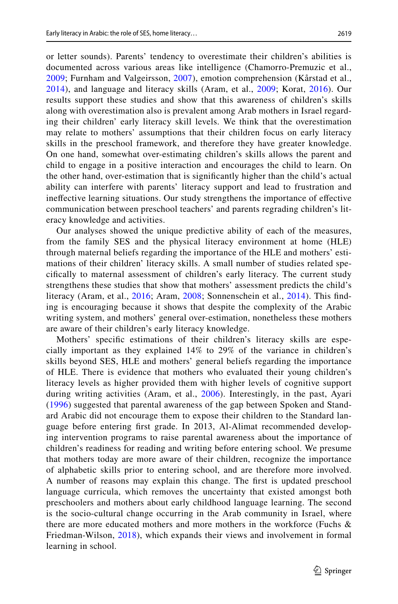or letter sounds). Parents' tendency to overestimate their children's abilities is documented across various areas like intelligence (Chamorro-Premuzic et al., [2009;](#page-19-20) Furnham and Valgeirsson, [2007](#page-20-18)), emotion comprehension (Kårstad et al., [2014\)](#page-20-19), and language and literacy skills (Aram, et al., [2009;](#page-21-19) Korat, [2016](#page-18-13)). Our results support these studies and show that this awareness of children's skills along with overestimation also is prevalent among Arab mothers in Israel regarding their children' early literacy skill levels. We think that the overestimation may relate to mothers' assumptions that their children focus on early literacy skills in the preschool framework, and therefore they have greater knowledge. On one hand, somewhat over-estimating children's skills allows the parent and child to engage in a positive interaction and encourages the child to learn. On the other hand, over-estimation that is signifcantly higher than the child's actual ability can interfere with parents' literacy support and lead to frustration and inefective learning situations. Our study strengthens the importance of efective communication between preschool teachers' and parents regrading children's literacy knowledge and activities.

Our analyses showed the unique predictive ability of each of the measures, from the family SES and the physical literacy environment at home (HLE) through maternal beliefs regarding the importance of the HLE and mothers' estimations of their children' literacy skills. A small number of studies related specifcally to maternal assessment of children's early literacy. The current study strengthens these studies that show that mothers' assessment predicts the child's literacy (Aram, et al., [2016](#page-18-13); Aram, [2008;](#page-18-14) Sonnenschein et al., [2014\)](#page-22-9). This fnding is encouraging because it shows that despite the complexity of the Arabic writing system, and mothers' general over-estimation, nonetheless these mothers are aware of their children's early literacy knowledge.

Mothers' specifc estimations of their children's literacy skills are especially important as they explained 14% to 29% of the variance in children's skills beyond SES, HLE and mothers' general beliefs regarding the importance of HLE. There is evidence that mothers who evaluated their young children's literacy levels as higher provided them with higher levels of cognitive support during writing activities (Aram, et al., [2006](#page-18-16)). Interestingly, in the past, Ayari ([1996](#page-18-3)) suggested that parental awareness of the gap between Spoken and Standard Arabic did not encourage them to expose their children to the Standard language before entering frst grade. In 2013, Al-Alimat recommended developing intervention programs to raise parental awareness about the importance of children's readiness for reading and writing before entering school. We presume that mothers today are more aware of their children, recognize the importance of alphabetic skills prior to entering school, and are therefore more involved. A number of reasons may explain this change. The frst is updated preschool language curricula, which removes the uncertainty that existed amongst both preschoolers and mothers about early childhood language learning. The second is the socio-cultural change occurring in the Arab community in Israel, where there are more educated mothers and more mothers in the workforce (Fuchs & Friedman-Wilson, [2018](#page-20-20)), which expands their views and involvement in formal learning in school.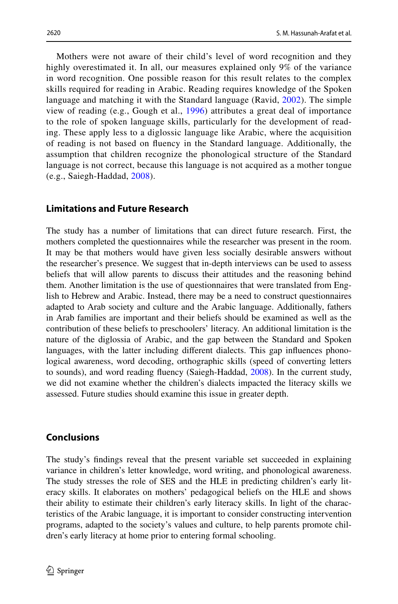Mothers were not aware of their child's level of word recognition and they highly overestimated it. In all, our measures explained only 9% of the variance in word recognition. One possible reason for this result relates to the complex skills required for reading in Arabic. Reading requires knowledge of the Spoken language and matching it with the Standard language (Ravid, [2002](#page-21-20)). The simple view of reading (e.g., Gough et al., [1996](#page-20-21)) attributes a great deal of importance to the role of spoken language skills, particularly for the development of reading. These apply less to a diglossic language like Arabic, where the acquisition of reading is not based on fuency in the Standard language. Additionally, the assumption that children recognize the phonological structure of the Standard language is not correct, because this language is not acquired as a mother tongue (e.g., Saiegh-Haddad, [2008\)](#page-21-21).

### **Limitations and Future Research**

The study has a number of limitations that can direct future research. First, the mothers completed the questionnaires while the researcher was present in the room. It may be that mothers would have given less socially desirable answers without the researcher's presence. We suggest that in-depth interviews can be used to assess beliefs that will allow parents to discuss their attitudes and the reasoning behind them. Another limitation is the use of questionnaires that were translated from English to Hebrew and Arabic. Instead, there may be a need to construct questionnaires adapted to Arab society and culture and the Arabic language. Additionally, fathers in Arab families are important and their beliefs should be examined as well as the contribution of these beliefs to preschoolers' literacy. An additional limitation is the nature of the diglossia of Arabic, and the gap between the Standard and Spoken languages, with the latter including diferent dialects. This gap infuences phonological awareness, word decoding, orthographic skills (speed of converting letters to sounds), and word reading fuency (Saiegh-Haddad, [2008\)](#page-21-21). In the current study, we did not examine whether the children's dialects impacted the literacy skills we assessed. Future studies should examine this issue in greater depth.

#### **Conclusions**

The study's fndings reveal that the present variable set succeeded in explaining variance in children's letter knowledge, word writing, and phonological awareness. The study stresses the role of SES and the HLE in predicting children's early literacy skills. It elaborates on mothers' pedagogical beliefs on the HLE and shows their ability to estimate their children's early literacy skills. In light of the characteristics of the Arabic language, it is important to consider constructing intervention programs, adapted to the society's values and culture, to help parents promote children's early literacy at home prior to entering formal schooling.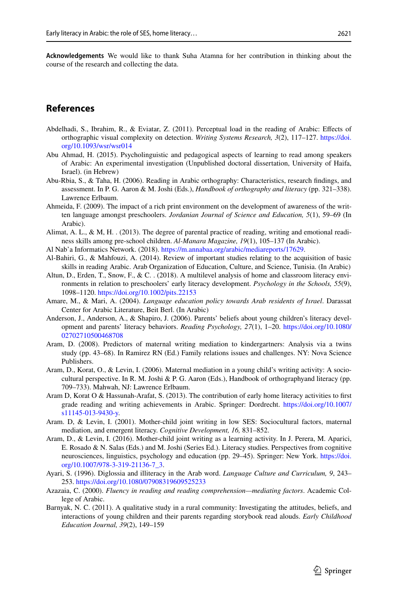**Acknowledgements** We would like to thank Suha Atamna for her contribution in thinking about the course of the research and collecting the data.

## **References**

- <span id="page-18-6"></span>Abdelhadi, S., Ibrahim, R., & Eviatar, Z. (2011). Perceptual load in the reading of Arabic: Efects of orthographic visual complexity on detection. *Writing Systems Research, 3*(2), 117–127. [https://doi.](https://doi.org/10.1093/wsr/wsr014) [org/10.1093/wsr/wsr014](https://doi.org/10.1093/wsr/wsr014)
- <span id="page-18-7"></span>Abu Ahmad, H. (2015). Psycholinguistic and pedagogical aspects of learning to read among speakers of Arabic: An experimental investigation (Unpublished doctoral dissertation, University of Haifa, Israel). (in Hebrew)
- <span id="page-18-4"></span>Abu-Rbia, S., & Taha, H. (2006). Reading in Arabic orthography: Characteristics, research fndings, and assessment. In P. G. Aaron & M. Joshi (Eds.), *Handbook of orthography and literacy* (pp. 321–338). Lawrence Erlbaum.
- <span id="page-18-15"></span>Ahmeida, F. (2009). The impact of a rich print environment on the development of awareness of the written language amongst preschoolers. *Jordanian Journal of Science and Education, 5*(1), 59–69 (In Arabic).
- Alimat, A. L., & M, H. . (2013). The degree of parental practice of reading, writing and emotional readiness skills among pre-school children. *Al-Manara Magazine, 19*(1), 105–137 (In Arabic).
- <span id="page-18-0"></span>Al Nab'a Informatics Network. (2018).<https://m.annabaa.org/arabic/mediareports/17629>.
- <span id="page-18-1"></span>Al-Bahiri, G., & Mahfouzi, A. (2014). Review of important studies relating to the acquisition of basic skills in reading Arabic. Arab Organization of Education, Culture, and Science, Tunisia. (In Arabic)
- <span id="page-18-9"></span>Altun, D., Erden, T., Snow, F., & C. . (2018). A multilevel analysis of home and classroom literacy environments in relation to preschoolers' early literacy development. *Psychology in the Schools, 55*(9), 1098–1120.<https://doi.org/10.1002/pits.22153>
- <span id="page-18-2"></span>Amare, M., & Mari, A. (2004). *Language education policy towards Arab residents of Israel*. Darassat Center for Arabic Literature, Beit Berl. (In Arabic)
- <span id="page-18-12"></span>Anderson, J., Anderson, A., & Shapiro, J. (2006). Parents' beliefs about young children's literacy development and parents' literacy behaviors. *Reading Psychology, 27*(1), 1–20. [https://doi.org/10.1080/](https://doi.org/10.1080/02702710500468708) [02702710500468708](https://doi.org/10.1080/02702710500468708)
- <span id="page-18-14"></span>Aram, D. (2008). Predictors of maternal writing mediation to kindergartners: Analysis via a twins study (pp. 43–68). In Ramirez RN (Ed.) Family relations issues and challenges. NY: Nova Science Publishers.
- <span id="page-18-16"></span>Aram, D., Korat, O., & Levin, I. (2006). Maternal mediation in a young child's writing activity: A sociocultural perspective. In R. M. Joshi & P. G. Aaron (Eds.), Handbook of orthographyand literacy (pp. 709–733). Mahwah, NJ: Lawrence Erlbaum.
- <span id="page-18-8"></span>Aram D, Korat O & Hassunah-Arafat, S. (2013). The contribution of early home literacy activities to frst grade reading and writing achievements in Arabic. Springer: Dordrecht. [https://doi.org/10.1007/](https://doi.org/10.1007/s11145-013-9430-y) [s11145-013-9430-y.](https://doi.org/10.1007/s11145-013-9430-y)
- <span id="page-18-10"></span>Aram. D, & Levin, I. (2001). Mother-child joint writing in low SES: Sociocultural factors, maternal mediation, and emergent literacy. *Cognitive Development, 16,* 831–852.
- <span id="page-18-13"></span>Aram, D., & Levin, I. (2016). Mother-child joint writing as a learning activity. In J. Perera, M. Aparici, E. Rosado & N. Salas (Eds.) and M. Joshi (Series Ed.). Literacy studies. Perspectives from cognitive neurosciences, linguistics, psychology and education (pp. 29–45). Springer: New York. [https://doi.](https://doi.org/10.1007/978-3-319-21136-7_3) [org/10.1007/978-3-319-21136-7\\_3.](https://doi.org/10.1007/978-3-319-21136-7_3)
- <span id="page-18-3"></span>Ayari, S. (1996). Diglossia and illiteracy in the Arab word. *Language Culture and Curriculum, 9*, 243– 253.<https://doi.org/10.1080/07908319609525233>
- <span id="page-18-5"></span>Azazaia, C. (2000). *Fluency in reading and reading comprehension—mediating factors*. Academic College of Arabic.
- <span id="page-18-11"></span>Barnyak, N. C. (2011). A qualitative study in a rural community: Investigating the attitudes, beliefs, and interactions of young children and their parents regarding storybook read alouds. *Early Childhood Education Journal, 39*(2), 149–159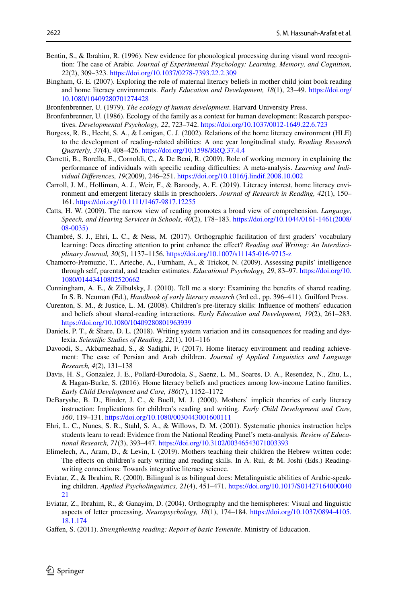- <span id="page-19-7"></span>Bentin, S., & Ibrahim, R. (1996). New evidence for phonological processing during visual word recognition: The case of Arabic. *Journal of Experimental Psychology: Learning, Memory, and Cognition, 22*(2), 309–323.<https://doi.org/10.1037/0278-7393.22.2.309>
- <span id="page-19-19"></span>Bingham, G. E. (2007). Exploring the role of maternal literacy beliefs in mother child joint book reading and home literacy environments. *Early Education and Development, 18*(1), 23–49. [https://doi.org/](https://doi.org/10.1080/10409280701274428) [10.1080/10409280701274428](https://doi.org/10.1080/10409280701274428)
- <span id="page-19-0"></span>Bronfenbrenner, U. (1979). *The ecology of human development*. Harvard University Press.
- <span id="page-19-1"></span>Bronfenbrenner, U. (1986). Ecology of the family as a context for human development: Research perspectives. *Developmental Psychology, 22*, 723–742. <https://doi.org/10.1037/0012-1649.22.6.723>
- <span id="page-19-9"></span>Burgess, R. B., Hecht, S. A., & Lonigan, C. J. (2002). Relations of the home literacy environment (HLE) to the development of reading-related abilities: A one year longitudinal study. *Reading Research Quarterly, 37*(4), 408–426. <https://doi.org/10.1598/RRQ.37.4.4>
- <span id="page-19-12"></span>Carretti, B., Borella, E., Cornoldi, C., & De Beni, R. (2009). Role of working memory in explaining the performance of individuals with specifc reading difculties: A meta-analysis. *Learning and Individual Diferences, 19*(2009), 246–251. <https://doi.org/10.1016/j.lindif.2008.10.002>
- <span id="page-19-10"></span>Carroll, J. M., Holliman, A. J., Weir, F., & Baroody, A. E. (2019). Literacy interest, home literacy environment and emergent literacy skills in preschoolers. *Journal of Research in Reading, 42*(1), 150– 161.<https://doi.org/10.1111/1467-9817.12255>
- <span id="page-19-13"></span>Catts, H. W. (2009). The narrow view of reading promotes a broad view of comprehension. *Language, Speech, and Hearing Services in Schools, 40*(2), 178–183. [https://doi.org/10.1044/0161-1461\(2008/](https://doi.org/10.1044/0161-1461(2008/08-0035)) [08-0035\)](https://doi.org/10.1044/0161-1461(2008/08-0035))
- <span id="page-19-4"></span>Chambré, S. J., Ehri, L. C., & Ness, M. (2017). Orthographic facilitation of frst graders' vocabulary learning: Does directing attention to print enhance the efect? *Reading and Writing: An Interdisciplinary Journal, 30*(5), 1137–1156. <https://doi.org/10.1007/s11145-016-9715-z>
- <span id="page-19-20"></span>Chamorro-Premuzic, T., Arteche, A., Furnham, A., & Trickot, N. (2009). Assessing pupils' intelligence through self, parental, and teacher estimates. *Educational Psychology, 29*, 83–97. [https://doi.org/10.](https://doi.org/10.1080/01443410802520662) [1080/01443410802520662](https://doi.org/10.1080/01443410802520662)
- <span id="page-19-14"></span>Cunningham, A. E., & Zilbulsky, J. (2010). Tell me a story: Examining the benefts of shared reading. In S. B. Neuman (Ed.), *Handbook of early literacy research* (3rd ed., pp. 396–411). Guilford Press.
- <span id="page-19-15"></span>Curenton, S. M., & Justice, L. M. (2008). Children's pre-literacy skills: Infuence of mothers' education and beliefs about shared-reading interactions. *Early Education and Development, 19*(2), 261–283. <https://doi.org/10.1080/10409280801963939>
- <span id="page-19-2"></span>Daniels, P. T., & Share, D. L. (2018). Writing system variation and its consequences for reading and dyslexia. *Scientifc Studies of Reading, 22*(1), 101–116
- <span id="page-19-11"></span>Davoodi, S., Akbarnezhad, S., & Sadighi, F. (2017). Home literacy environment and reading achievement: The case of Persian and Arab children. *Journal of Applied Linguistics and Language Research, 4*(2), 131–138
- <span id="page-19-17"></span>Davis, H. S., Gonzalez, J. E., Pollard-Durodola, S., Saenz, L. M., Soares, D. A., Resendez, N., Zhu, L., & Hagan-Burke, S. (2016). Home literacy beliefs and practices among low-income Latino families. *Early Child Development and Care, 186*(7), 1152–1172
- <span id="page-19-16"></span>DeBaryshe, B. D., Binder, J. C., & Buell, M. J. (2000). Mothers' implicit theories of early literacy instruction: Implications for children's reading and writing. *Early Child Development and Care, 160*, 119–131.<https://doi.org/10.1080/0030443001600111>
- <span id="page-19-8"></span>Ehri, L. C., Nunes, S. R., Stahl, S. A., & Willows, D. M. (2001). Systematic phonics instruction helps students learn to read: Evidence from the National Reading Panel's meta-analysis. *Review of Educational Research, 71*(3), 393–447.<https://doi.org/10.3102/00346543071003393>
- <span id="page-19-5"></span>Elimelech, A., Aram, D., & Levin, I. (2019). Mothers teaching their children the Hebrew written code: The efects on children's early writing and reading skills. In A. Rui, & M. Joshi (Eds.) Readingwriting connections: Towards integrative literacy science.
- <span id="page-19-6"></span>Eviatar, Z., & Ibrahim, R. (2000). Bilingual is as bilingual does: Metalinguistic abilities of Arabic-speaking children. *Applied Psycholinguistics, 21*(4), 451–471. [https://doi.org/10.1017/S01427164000040](https://doi.org/10.1017/S0142716400004021) [21](https://doi.org/10.1017/S0142716400004021)
- <span id="page-19-3"></span>Eviatar, Z., Ibrahim, R., & Ganayim, D. (2004). Orthography and the hemispheres: Visual and linguistic aspects of letter processing. *Neuropsychology, 18*(1), 174–184. [https://doi.org/10.1037/0894-4105.](https://doi.org/10.1037/0894-4105.18.1.174) [18.1.174](https://doi.org/10.1037/0894-4105.18.1.174)
- <span id="page-19-18"></span>Gafen, S. (2011). *Strengthening reading: Report of basic Yemenite*. Ministry of Education.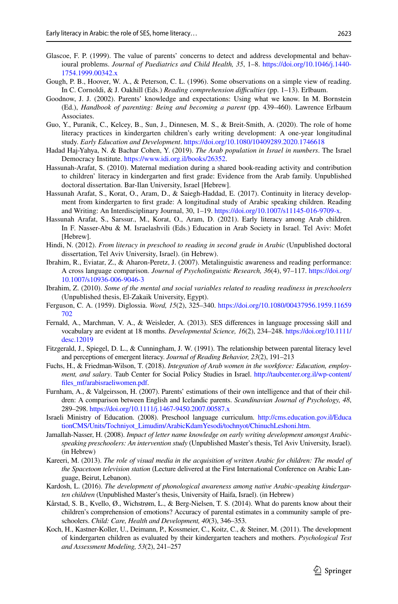- <span id="page-20-16"></span>Glascoe, F. P. (1999). The value of parents' concerns to detect and address developmental and behavioural problems. *Journal of Paediatrics and Child Health, 35*, 1–8. [https://doi.org/10.1046/j.1440-](https://doi.org/10.1046/j.1440-1754.1999.00342.x) [1754.1999.00342.x](https://doi.org/10.1046/j.1440-1754.1999.00342.x)
- <span id="page-20-21"></span>Gough, P. B., Hoover, W. A., & Peterson, C. L. (1996). Some observations on a simple view of reading. In C. Cornoldi, & J. Oakhill (Eds.) *Reading comprehension difculties* (pp. 1–13). Erlbaum.
- <span id="page-20-13"></span>Goodnow, J. J. (2002). Parents' knowledge and expectations: Using what we know. In M. Bornstein (Ed.), *Handbook of parenting: Being and becoming a parent* (pp. 439–460). Lawrence Erlbaum Associates.
- <span id="page-20-12"></span>Guo, Y., Puranik, C., Kelcey, B., Sun, J., Dinnesen, M. S., & Breit-Smith, A. (2020). The role of home literacy practices in kindergarten children's early writing development: A one-year longitudinal study. *Early Education and Development*.<https://doi.org/10.1080/10409289.2020.1746618>
- <span id="page-20-14"></span>Hadad Haj-Yahya, N. & Bachar Cohen, Y. (2019). *The Arab population in Israel in numbers*. The Israel Democracy Institute.<https://www.idi.org.il/books/26352>.
- <span id="page-20-7"></span>Hassunah-Arafat, S. (2010). Maternal mediation during a shared book-reading activity and contribution to children' literacy in kindergarten and frst grade: Evidence from the Arab family. Unpublished doctoral dissertation. Bar-Ilan University, Israel [Hebrew].
- <span id="page-20-10"></span>Hassunah Arafat, S., Korat, O., Aram, D., & Saiegh-Haddad, E. (2017). Continuity in literacy development from kindergarten to frst grade: A longitudinal study of Arabic speaking children. Reading and Writing: An Interdisciplinary Journal, 30, 1–19. [https://doi.org/10.1007/s11145-016-9709-x.](https://doi.org/10.1007/s11145-016-9709-x)
- <span id="page-20-5"></span>Hassunah Arafat, S., Sarssur., M., Korat, O., Aram, D. (2021). Early literacy among Arab children. In F. Nasser-Abu & M. Israelashvili (Eds.) Education in Arab Society in Israel. Tel Aviv: Mofet [Hebrew].
- <span id="page-20-6"></span>Hindi, N. (2012). *From literacy in preschool to reading in second grade in Arabic* (Unpublished doctoral dissertation, Tel Aviv University, Israel). (in Hebrew).
- <span id="page-20-3"></span>Ibrahim, R., Eviatar, Z., & Aharon-Peretz, J. (2007). Metalinguistic awareness and reading performance: A cross language comparison. *Journal of Psycholinguistic Research, 36*(4), 97–117. [https://doi.org/](https://doi.org/10.1007/s10936-006-9046-3) [10.1007/s10936-006-9046-3](https://doi.org/10.1007/s10936-006-9046-3)
- <span id="page-20-2"></span>Ibrahim, Z. (2010). *Some of the mental and social variables related to reading readiness in preschoolers*  (Unpublished thesis, El-Zakaik University, Egypt).
- <span id="page-20-0"></span>Ferguson, C. A. (1959). Diglossia. *Word, 15*(2), 325–340. [https://doi.org/10.1080/00437956.1959.11659](https://doi.org/10.1080/00437956.1959.11659702) [702](https://doi.org/10.1080/00437956.1959.11659702)
- <span id="page-20-11"></span>Fernald, A., Marchman, V. A., & Weisleder, A. (2013). SES diferences in language processing skill and vocabulary are evident at 18 months. *Developmental Science, 16*(2), 234–248. [https://doi.org/10.1111/](https://doi.org/10.1111/desc.12019) [desc.12019](https://doi.org/10.1111/desc.12019)
- <span id="page-20-15"></span>Fitzgerald, J., Spiegel, D. L., & Cunningham, J. W. (1991). The relationship between parental literacy level and perceptions of emergent literacy. *Journal of Reading Behavior, 23*(2), 191–213
- <span id="page-20-20"></span>Fuchs, H., & Friedman-Wilson, T. (2018). *Integration of Arab women in the workforce: Education, employment, and salary*. Taub Center for Social Policy Studies in Israel. [http://taubcenter.org.il/wp-content/](http://taubcenter.org.il/wp-content/files_mf/arabisraeliwomen.pdf) [fles\\_mf/arabisraeliwomen.pdf.](http://taubcenter.org.il/wp-content/files_mf/arabisraeliwomen.pdf)
- <span id="page-20-18"></span>Furnham, A., & Valgeirsson, H. (2007). Parents' estimations of their own intelligence and that of their children: A comparison between English and Icelandic parents. *Scandinavian Journal of Psychology, 48*, 289–298.<https://doi.org/10.1111/j.1467-9450.2007.00587.x>
- <span id="page-20-4"></span>Israeli Ministry of Education. (2008). Preschool language curriculum. [http://cms.education.gov.il/Educa](http://cms.education.gov.il/EducationCMS/Units/Tochniyot_Limudim/ArabicKdamYesodi/tochnyot/ChinuchLeshoni.htm) [tionCMS/Units/Tochniyot\\_Limudim/ArabicKdamYesodi/tochnyot/ChinuchLeshoni.htm](http://cms.education.gov.il/EducationCMS/Units/Tochniyot_Limudim/ArabicKdamYesodi/tochnyot/ChinuchLeshoni.htm).
- <span id="page-20-9"></span>Jamallah-Nasser, H. (2008). *Impact of letter name knowledge on early writing development amongst Arabicspeaking preschoolers: An intervention study* (Unpublished Master's thesis, Tel Aviv University, Israel). (in Hebrew)
- <span id="page-20-1"></span>Kareeri, M. (2013). *The role of visual media in the acquisition of written Arabic for children: The model of the Spacetoon television station* (Lecture delivered at the First International Conference on Arabic Language, Beirut, Lebanon).
- <span id="page-20-8"></span>Kardosh, L. (2016). *The development of phonological awareness among native Arabic-speaking kindergarten children* (Unpublished Master's thesis, University of Haifa, Israel). (in Hebrew)
- <span id="page-20-19"></span>Kårstad, S. B., Kvello, Ø., Wichstrøm, L., & Berg-Nielsen, T. S. (2014). What do parents know about their children's comprehension of emotions? Accuracy of parental estimates in a community sample of preschoolers. *Child: Care, Health and Development, 40*(3), 346–353.
- <span id="page-20-17"></span>Koch, H., Kastner-Koller, U., Deimann, P., Kossmeier, C., Koitz, C., & Steiner, M. (2011). The development of kindergarten children as evaluated by their kindergarten teachers and mothers. *Psychological Test and Assessment Modeling, 53*(2), 241–257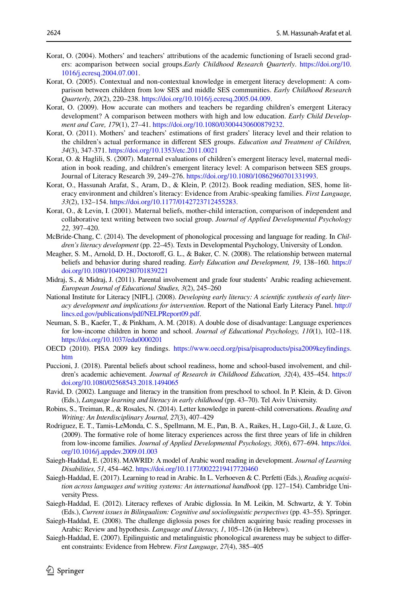- <span id="page-21-18"></span>Korat, O. (2004). Mothers' and teachers' attributions of the academic functioning of Israeli second graders: acomparison between social groups.*Early Childhood Research Quarterly*. [https://doi.org/10.](https://doi.org/10.1016/j.ecresq.2004.07.001) [1016/j.ecresq.2004.07.001.](https://doi.org/10.1016/j.ecresq.2004.07.001)
- <span id="page-21-16"></span>Korat, O. (2005). Contextual and non-contextual knowledge in emergent literacy development: A comparison between children from low SES and middle SES communities. *Early Childhood Research Quarterly, 20*(2), 220–238. [https://doi.org/10.1016/j.ecresq.2005.04.009.](https://doi.org/10.1016/j.ecresq.2005.04.009)
- <span id="page-21-19"></span>Korat, O. (2009). How accurate can mothers and teachers be regarding children's emergent Literacy development? A comparison between mothers with high and low education. *Early Child Development and Care, 179*(1), 27–41. <https://doi.org/10.1080/03004430600879232>.
- <span id="page-21-15"></span>Korat, O. (2011). Mothers' and teachers' estimations of frst graders' literacy level and their relation to the children's actual performance in diferent SES groups. *Education and Treatment of Children, 34*(3), 347-371.<https://doi.org/10.1353/etc.2011.0021>
- <span id="page-21-8"></span>Korat, O. & Haglili, S. (2007). Maternal evaluations of children's emergent literacy level, maternal mediation in book reading, and children's emergent literacy level: A comparison between SES groups. Journal of Literacy Research 39, 249–276. <https://doi.org/10.1080/10862960701331993>.
- <span id="page-21-12"></span>Korat, O., Hassunah Arafat, S., Aram, D., & Klein, P. (2012). Book reading mediation, SES, home literacy environment and children's literacy: Evidence from Arabic-speaking families. *First Language, 33*(2), 132–154. [https://doi.org/10.1177/0142723712455283.](https://doi.org/10.1177/0142723712455283)
- <span id="page-21-10"></span>Korat, O., & Levin, I. (2001). Maternal beliefs, mother-child interaction, comparison of independent and collaborative text writing between two social group. *Journal of Applied Developmental Psychology 22,* 397–420.
- <span id="page-21-0"></span>McBride-Chang, C. (2014). The development of phonological processing and language for reading. In *Children's literacy development* (pp. 22–45). Texts in Developmental Psychology, University of London.
- <span id="page-21-13"></span>Meagher, S. M., Arnold, D. H., Doctorof, G. L., & Baker, C. N. (2008). The relationship between maternal beliefs and behavior during shared reading. *Early Education and Development, 19*, 138–160. [https://](https://doi.org/10.1080/10409280701839221) [doi.org/10.1080/10409280701839221](https://doi.org/10.1080/10409280701839221)
- <span id="page-21-9"></span>Midraj, S., & Midraj, J. (2011). Parental involvement and grade four students' Arabic reading achievement. *European Journal of Educational Studies, 3*(2), 245–260
- <span id="page-21-6"></span>National Institute for Literacy [NIFL]. (2008). *Developing early literacy: A scientifc synthesis of early literacy development and implications for intervention*. Report of the National Early Literacy Panel. [http://](http://lincs.ed.gov/publications/pdf/NELPReport09.pdf) [lincs.ed.gov/publications/pdf/NELPReport09.pdf](http://lincs.ed.gov/publications/pdf/NELPReport09.pdf).
- <span id="page-21-17"></span>Neuman, S. B., Kaefer, T., & Pinkham, A. M. (2018). A double dose of disadvantage: Language experiences for low-income children in home and school. *Journal of Educational Psychology, 110*(1), 102–118. <https://doi.org/10.1037/edu0000201>
- <span id="page-21-7"></span>OECD (2010). PISA 2009 key fndings. [https://www.oecd.org/pisa/pisaproducts/pisa2009keyfndings.](https://doi.org/https://www.oecd.org/pisa/pisaproducts/pisa2009keyfindings.htm) [htm](https://doi.org/https://www.oecd.org/pisa/pisaproducts/pisa2009keyfindings.htm)
- <span id="page-21-14"></span>Puccioni, J. (2018). Parental beliefs about school readiness, home and school-based involvement, and children's academic achievement. *Journal of Research in Childhood Education, 32*(4), 435–454. [https://](https://doi.org/10.1080/02568543.2018.1494065) [doi.org/10.1080/02568543.2018.1494065](https://doi.org/10.1080/02568543.2018.1494065)
- <span id="page-21-20"></span>Ravid, D. (2002). Language and literacy in the transition from preschool to school. In P. Klein, & D. Givon (Eds.), *Language learning and literacy in early childhood* (pp. 43–70). Tel Aviv University.
- <span id="page-21-4"></span>Robins, S., Treiman, R., & Rosales, N. (2014). Letter knowledge in parent–child conversations. *Reading and Writing: An Interdisciplinary Journal, 27*(3), 407–429
- <span id="page-21-11"></span>Rodriguez, E. T., Tamis-LeMonda, C. S., Spellmann, M. E., Pan, B. A., Raikes, H., Lugo-Gil, J., & Luze, G. (2009). The formative role of home literacy experiences across the frst three years of life in children from low-income families. *Journal of Applied Developmental Psychology, 30*(6), 677–694. [https://doi.](https://doi.org/10.1016/j.appdev.2009.01.003) [org/10.1016/j.appdev.2009.01.003](https://doi.org/10.1016/j.appdev.2009.01.003)
- <span id="page-21-2"></span>Saiegh-Haddad, E. (2018). MAWRID: A model of Arabic word reading in development. *Journal of Learning Disabilities, 51*, 454–462.<https://doi.org/10.1177/0022219417720460>
- <span id="page-21-1"></span>Saiegh-Haddad, E. (2017). Learning to read in Arabic. In L. Verhoeven & C. Perfetti (Eds.), *Reading acquisition across languages and writing systems: An international handbook* (pp. 127–154). Cambridge University Press.
- <span id="page-21-3"></span>Saiegh-Haddad, E. (2012). Literacy refexes of Arabic diglossia. In M. Leikin, M. Schwartz, & Y. Tobin (Eds.), *Current issues in Bilingualism: Cognitive and sociolinguistic perspectives* (pp. 43–55). Springer.
- <span id="page-21-21"></span>Saiegh-Haddad, E. (2008). The challenge diglossia poses for children acquiring basic reading processes in Arabic: Review and hypothesis. *Language and Literacy, 1*, 105–126 (in Hebrew).
- <span id="page-21-5"></span>Saiegh-Haddad, E. (2007). Epilinguistic and metalinguistic phonological awareness may be subject to diferent constraints: Evidence from Hebrew. *First Language, 27*(4), 385–405